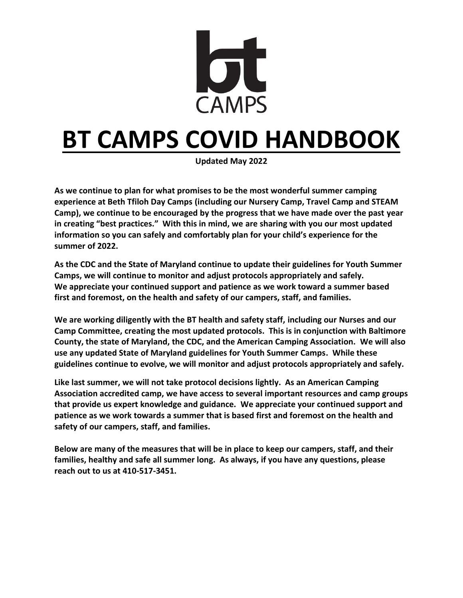

# **BT CAMPS COVID HANDBOOK**

**Updated May 2022**

**As we continue to plan for what promises to be the most wonderful summer camping experience at Beth Tfiloh Day Camps (including our Nursery Camp, Travel Camp and STEAM Camp), we continue to be encouraged by the progress that we have made over the past year in creating "best practices." With this in mind, we are sharing with you our most updated information so you can safely and comfortably plan for your child's experience for the summer of 2022.** 

**As the CDC and the State of Maryland continue to update their guidelines for Youth Summer Camps, we will continue to monitor and adjust protocols appropriately and safely. We appreciate your continued support and patience as we work toward a summer based first and foremost, on the health and safety of our campers, staff, and families.**

**We are working diligently with the BT health and safety staff, including our Nurses and our Camp Committee, creating the most updated protocols. This is in conjunction with Baltimore County, the state of Maryland, the CDC, and the American Camping Association. We will also use any updated State of Maryland guidelines for Youth Summer Camps. While these guidelines continue to evolve, we will monitor and adjust protocols appropriately and safely.** 

**Like last summer, we will not take protocol decisions lightly. As an American Camping Association accredited camp, we have access to several important resources and camp groups that provide us expert knowledge and guidance. We appreciate your continued support and patience as we work towards a summer that is based first and foremost on the health and safety of our campers, staff, and families.** 

**Below are many of the measures that will be in place to keep our campers, staff, and their families, healthy and safe all summer long. As always, if you have any questions, please reach out to us at 410-517-3451.**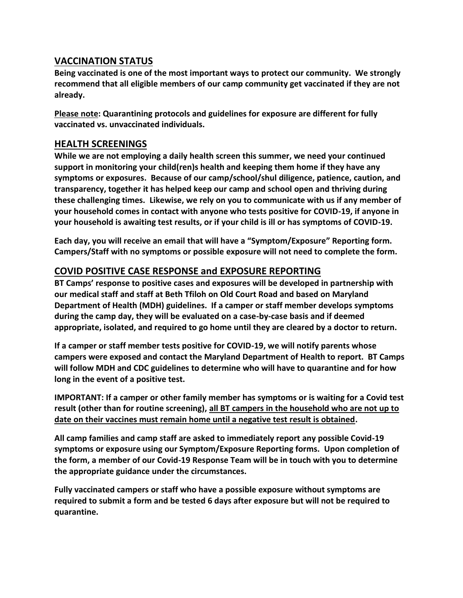# **VACCINATION STATUS**

**Being vaccinated is one of the most important ways to protect our community. We strongly recommend that all eligible members of our camp community get vaccinated if they are not already.** 

**Please note: Quarantining protocols and guidelines for exposure are different for fully vaccinated vs. unvaccinated individuals.**

## **HEALTH SCREENINGS**

**While we are not employing a daily health screen this summer, we need your continued support in monitoring your child(ren)s health and keeping them home if they have any symptoms or exposures. Because of our camp/school/shul diligence, patience, caution, and transparency, together it has helped keep our camp and school open and thriving during these challenging times. Likewise, we rely on you to communicate with us if any member of your household comes in contact with anyone who tests positive for COVID-19, if anyone in your household is awaiting test results, or if your child is ill or has symptoms of COVID-19.**

**Each day, you will receive an email that will have a "Symptom/Exposure" Reporting form. Campers/Staff with no symptoms or possible exposure will not need to complete the form.** 

## **COVID POSITIVE CASE RESPONSE and EXPOSURE REPORTING**

**BT Camps' response to positive cases and exposures will be developed in partnership with our medical staff and staff at Beth Tfiloh on Old Court Road and based on Maryland Department of Health (MDH) guidelines. If a camper or staff member develops symptoms during the camp day, they will be evaluated on a case-by-case basis and if deemed appropriate, isolated, and required to go home until they are cleared by a doctor to return.** 

**If a camper or staff member tests positive for COVID-19, we will notify parents whose campers were exposed and contact the Maryland Department of Health to report. BT Camps will follow MDH and CDC guidelines to determine who will have to quarantine and for how long in the event of a positive test.** 

**IMPORTANT: If a camper or other family member has symptoms or is waiting for a Covid test result (other than for routine screening), all BT campers in the household who are not up to date on their vaccines must remain home until a negative test result is obtained.**

**All camp families and camp staff are asked to immediately report any possible Covid-19 symptoms or exposure using our Symptom/Exposure Reporting forms. Upon completion of the form, a member of our Covid-19 Response Team will be in touch with you to determine the appropriate guidance under the circumstances.**

**Fully vaccinated campers or staff who have a possible exposure without symptoms are required to submit a form and be tested 6 days after exposure but will not be required to quarantine.**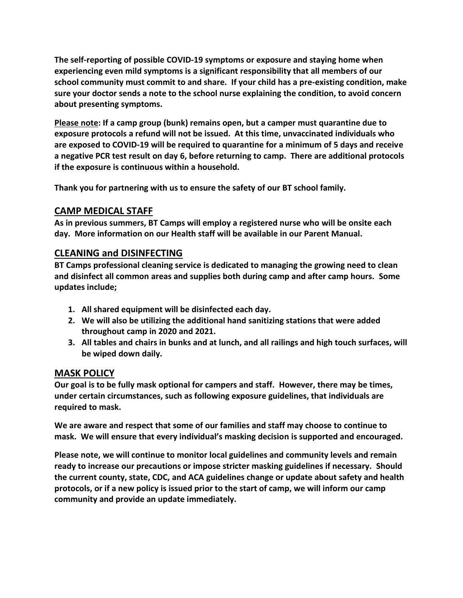**The self-reporting of possible COVID-19 symptoms or exposure and staying home when experiencing even mild symptoms is a significant responsibility that all members of our school community must commit to and share. If your child has a pre-existing condition, make sure your doctor sends a note to the school nurse explaining the condition, to avoid concern about presenting symptoms.** 

**Please note: If a camp group (bunk) remains open, but a camper must quarantine due to exposure protocols a refund will not be issued. At this time, unvaccinated individuals who are exposed to COVID-19 will be required to quarantine for a minimum of 5 days and receive a negative PCR test result on day 6, before returning to camp. There are additional protocols if the exposure is continuous within a household.**

**Thank you for partnering with us to ensure the safety of our BT school family.**

# **CAMP MEDICAL STAFF**

**As in previous summers, BT Camps will employ a registered nurse who will be onsite each day. More information on our Health staff will be available in our Parent Manual.** 

## **CLEANING and DISINFECTING**

**BT Camps professional cleaning service is dedicated to managing the growing need to clean and disinfect all common areas and supplies both during camp and after camp hours. Some updates include;**

- **1. All shared equipment will be disinfected each day.**
- **2. We will also be utilizing the additional hand sanitizing stations that were added throughout camp in 2020 and 2021.**
- **3. All tables and chairs in bunks and at lunch, and all railings and high touch surfaces, will be wiped down daily.**

## **MASK POLICY**

**Our goal is to be fully mask optional for campers and staff. However, there may be times, under certain circumstances, such as following exposure guidelines, that individuals are required to mask.** 

**We are aware and respect that some of our families and staff may choose to continue to mask. We will ensure that every individual's masking decision is supported and encouraged.**

**Please note, we will continue to monitor local guidelines and community levels and remain ready to increase our precautions or impose stricter masking guidelines if necessary. Should the current county, state, CDC, and ACA guidelines change or update about safety and health protocols, or if a new policy is issued prior to the start of camp, we will inform our camp community and provide an update immediately.**